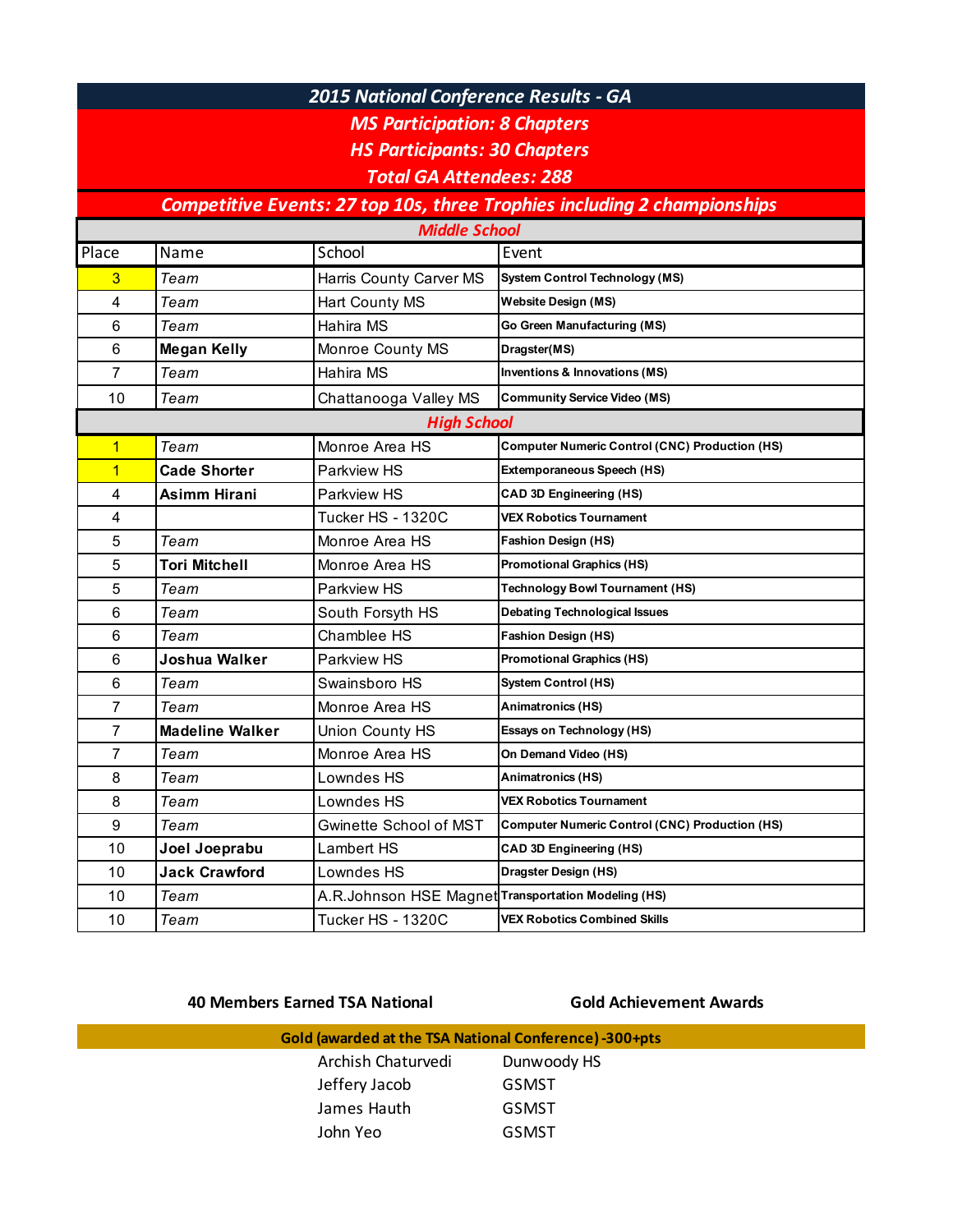## *2015 National Conference Results - GA*

*MS Participation: 8 Chapters*

*HS Participants: 30 Chapters*

*Total GA Attendees: 288*

## **Competitive Events: 27 top 10s, three Trophies including 2 championships**

| <b>Middle School</b>    |                        |                                                     |                                                       |  |  |
|-------------------------|------------------------|-----------------------------------------------------|-------------------------------------------------------|--|--|
| Place                   | Name                   | School                                              | Event                                                 |  |  |
| 3                       | Team                   | Harris County Carver MS                             | <b>System Control Technology (MS)</b>                 |  |  |
| $\overline{\mathbf{4}}$ | Team                   | Hart County MS                                      | <b>Website Design (MS)</b>                            |  |  |
| 6                       | Team                   | Hahira MS                                           | Go Green Manufacturing (MS)                           |  |  |
| 6                       | <b>Megan Kelly</b>     | Monroe County MS                                    | Dragster(MS)                                          |  |  |
| $\overline{7}$          | Team                   | Hahira MS                                           | Inventions & Innovations (MS)                         |  |  |
| 10                      | Team                   | Chattanooga Valley MS                               | <b>Community Service Video (MS)</b>                   |  |  |
| <b>High School</b>      |                        |                                                     |                                                       |  |  |
| $\mathbf{1}$            | Team                   | Monroe Area HS                                      | <b>Computer Numeric Control (CNC) Production (HS)</b> |  |  |
| $\overline{1}$          | <b>Cade Shorter</b>    | Parkview HS                                         | Extemporaneous Speech (HS)                            |  |  |
| 4                       | <b>Asimm Hirani</b>    | Parkview HS                                         | <b>CAD 3D Engineering (HS)</b>                        |  |  |
| 4                       |                        | <b>Tucker HS - 1320C</b>                            | <b>VEX Robotics Tournament</b>                        |  |  |
| 5                       | Team                   | Monroe Area HS                                      | <b>Fashion Design (HS)</b>                            |  |  |
| 5                       | <b>Tori Mitchell</b>   | Monroe Area HS                                      | <b>Promotional Graphics (HS)</b>                      |  |  |
| 5                       | Team                   | Parkview HS                                         | <b>Technology Bowl Tournament (HS)</b>                |  |  |
| 6                       | Team                   | South Forsyth HS                                    | <b>Debating Technological Issues</b>                  |  |  |
| 6                       | Team                   | Chamblee HS                                         | <b>Fashion Design (HS)</b>                            |  |  |
| 6                       | Joshua Walker          | Parkview HS                                         | <b>Promotional Graphics (HS)</b>                      |  |  |
| 6                       | Team                   | Swainsboro HS                                       | <b>System Control (HS)</b>                            |  |  |
| 7                       | Team                   | Monroe Area HS                                      | Animatronics (HS)                                     |  |  |
| 7                       | <b>Madeline Walker</b> | Union County HS                                     | Essays on Technology (HS)                             |  |  |
| 7                       | Team                   | Monroe Area HS                                      | On Demand Video (HS)                                  |  |  |
| 8                       | Team                   | Lowndes HS                                          | Animatronics (HS)                                     |  |  |
| 8                       | Team                   | Lowndes HS                                          | <b>VEX Robotics Tournament</b>                        |  |  |
| 9                       | Team                   | Gwinette School of MST                              | <b>Computer Numeric Control (CNC) Production (HS)</b> |  |  |
| 10                      | Joel Joeprabu          | Lambert HS                                          | CAD 3D Engineering (HS)                               |  |  |
| 10                      | <b>Jack Crawford</b>   | Lowndes HS                                          | Dragster Design (HS)                                  |  |  |
| 10                      | Team                   | A.R.Johnson HSE Magnet Transportation Modeling (HS) |                                                       |  |  |
| 10                      | Team                   | <b>Tucker HS - 1320C</b>                            | <b>VEX Robotics Combined Skills</b>                   |  |  |

**40 Members Earned TSA National Service Cold Achievement Awards** 

| Gold (awarded at the TSA National Conference) -300+pts |              |  |  |  |
|--------------------------------------------------------|--------------|--|--|--|
| Archish Chaturvedi                                     | Dunwoody HS  |  |  |  |
| Jeffery Jacob                                          | <b>GSMST</b> |  |  |  |
| James Hauth                                            | <b>GSMST</b> |  |  |  |
| John Yeo                                               | <b>GSMST</b> |  |  |  |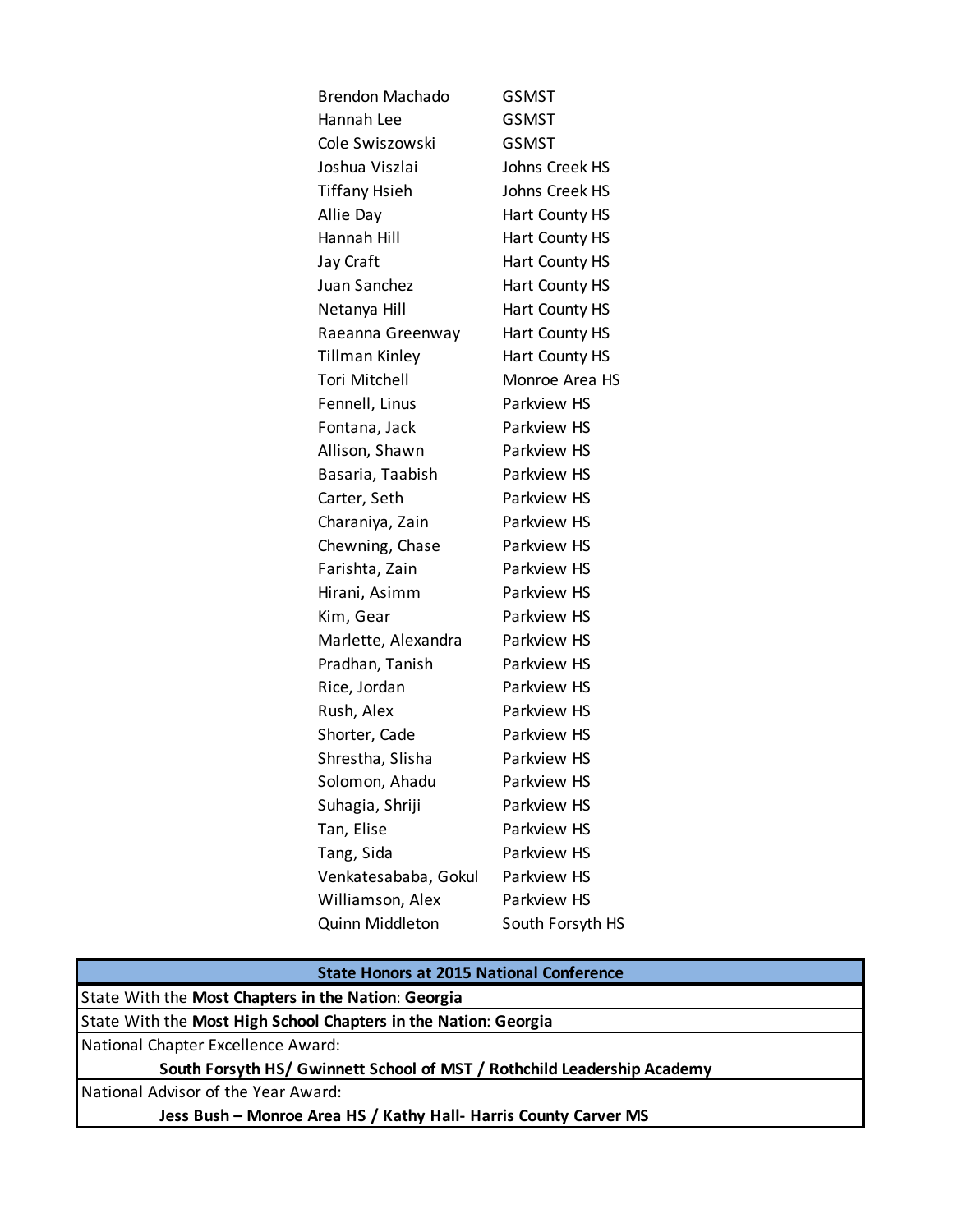| <b>GSMST</b>       |
|--------------------|
| <b>GSMST</b>       |
| <b>GSMST</b>       |
| Johns Creek HS     |
| Johns Creek HS     |
| Hart County HS     |
| Hart County HS     |
| Hart County HS     |
| Hart County HS     |
| Hart County HS     |
| Hart County HS     |
| Hart County HS     |
| Monroe Area HS     |
| Parkview HS        |
| Parkview HS        |
| Parkview HS        |
| Parkview HS        |
| Parkview HS        |
| Parkview HS        |
| Parkview HS        |
| Parkview HS        |
| <b>Parkview HS</b> |
| Parkview HS        |
| Parkview HS        |
| Parkview HS        |
| Parkview HS        |
| Parkview HS        |
| Parkview HS        |
| Parkview HS        |
| Parkview HS        |
| Parkview HS        |
| Parkview HS        |
| Parkview HS        |
| Parkview HS        |
| Parkview HS        |
| South Forsyth HS   |
|                    |

| <b>State Honors at 2015 National Conference</b>                         |  |  |
|-------------------------------------------------------------------------|--|--|
| State With the Most Chapters in the Nation: Georgia                     |  |  |
| State With the Most High School Chapters in the Nation: Georgia         |  |  |
| National Chapter Excellence Award:                                      |  |  |
| South Forsyth HS/ Gwinnett School of MST / Rothchild Leadership Academy |  |  |
| <b>National Advisor of the Year Award:</b>                              |  |  |
| Jess Bush - Monroe Area HS / Kathy Hall- Harris County Carver MS        |  |  |